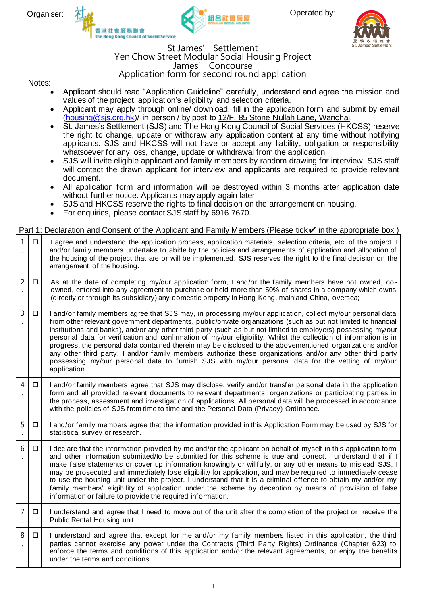





#### St James' Settlement Yen Chow Street Modular Social Housing Project James' Concourse Application form for second round application

#### Notes:

- Applicant should read "Application Guideline" carefully, understand and agree the mission and values of the project, application's eligibility and selection criteria.
- Applicant may apply through online/ download, fill in the application form and submit by email (housing@sjs.org.hk)/ in person / by post to 12/F, 85 Stone Nullah Lane, Wanchai.
- St. James's Settlement (SJS) and The Hong Kong Council of Social Services (HKCSS) reserve the right to change, update or withdraw any application content at any time without notifying applicants. SJS and HKCSS will not have or accept any liability, obligation or responsibility whatsoever for any loss, change, update or withdrawal from the application.
- SJS will invite eligible applicant and family members by random drawing for interview. SJS staff will contact the drawn applicant for interview and applicants are required to provide relevant document.
- All application form and information will be destroyed within 3 months after application date without further notice. Applicants may apply again later.
- SJS and HKCSS reserve the rights to final decision on the arrangement on housing.
- For enquiries, please contact SJS staff by 6916 7670.

## Part 1: Declaration and Consent of the Applicant and Family Members (Please tick√ in the appropriate box)

| 1              | □ | I agree and understand the application process, application materials, selection criteria, etc. of the project. I<br>and/or family members undertake to abide by the policies and arrangements of application and allocation of<br>the housing of the project that are or will be implemented. SJS reserves the right to the final decision on the<br>arrangement of the housing.                                                                                                                                                                                                                                                                                                                                                                                                                                   |
|----------------|---|---------------------------------------------------------------------------------------------------------------------------------------------------------------------------------------------------------------------------------------------------------------------------------------------------------------------------------------------------------------------------------------------------------------------------------------------------------------------------------------------------------------------------------------------------------------------------------------------------------------------------------------------------------------------------------------------------------------------------------------------------------------------------------------------------------------------|
| 2              | □ | As at the date of completing my/our application form, I and/or the family members have not owned, co-<br>owned, entered into any agreement to purchase or held more than 50% of shares in a company which owns<br>(directly or through its subsidiary) any domestic property in Hong Kong, mainland China, oversea;                                                                                                                                                                                                                                                                                                                                                                                                                                                                                                 |
| 3              | □ | I and/or family members agree that SJS may, in processing my/our application, collect my/our personal data<br>from other relevant government departments, public/private organizations (such as but not limited to financial<br>institutions and banks), and/or any other third party (such as but not limited to employers) possessing my/our<br>personal data for verification and confirmation of my/our eligibility. Whilst the collection of information is in<br>progress, the personal data contained therein may be disclosed to the abovementioned organizations and/or<br>any other third party. I and/or family members authorize these organizations and/or any other third party<br>possessing my/our personal data to furnish SJS with my/our personal data for the vetting of my/our<br>application. |
| $\overline{4}$ | □ | I and/or family members agree that SJS may disclose, verify and/or transfer personal data in the application<br>form and all provided relevant documents to relevant departments, organizations or participating parties in<br>the process, assessment and investigation of applications. All personal data will be processed in accordance<br>with the policies of SJS from time to time and the Personal Data (Privacy) Ordinance.                                                                                                                                                                                                                                                                                                                                                                                |
| 5              | □ | I and/or family members agree that the information provided in this Application Form may be used by SJS for<br>statistical survey or research.                                                                                                                                                                                                                                                                                                                                                                                                                                                                                                                                                                                                                                                                      |
| 6              | □ | I declare that the information provided by me and/or the applicant on behalf of myself in this application form<br>and other information submitted/to be submitted for this scheme is true and correct. I understand that if I<br>make false statements or cover up information knowingly or willfully, or any other means to mislead SJS, I<br>may be prosecuted and immediately lose eligibility for application, and may be required to immediately cease<br>to use the housing unit under the project. I understand that it is a criminal offence to obtain my and/or my<br>family members' eligibility of application under the scheme by deception by means of provision of false<br>information or failure to provide the required information.                                                              |
| 7              | □ | I understand and agree that I need to move out of the unit after the completion of the project or receive the<br>Public Rental Housing unit.                                                                                                                                                                                                                                                                                                                                                                                                                                                                                                                                                                                                                                                                        |
| 8              | □ | I understand and agree that except for me and/or my family members listed in this application, the third<br>parties cannot exercise any power under the Contracts (Third Party Rights) Ordinance (Chapter 623) to<br>enforce the terms and conditions of this application and/or the relevant agreements, or enjoy the benefits<br>under the terms and conditions.                                                                                                                                                                                                                                                                                                                                                                                                                                                  |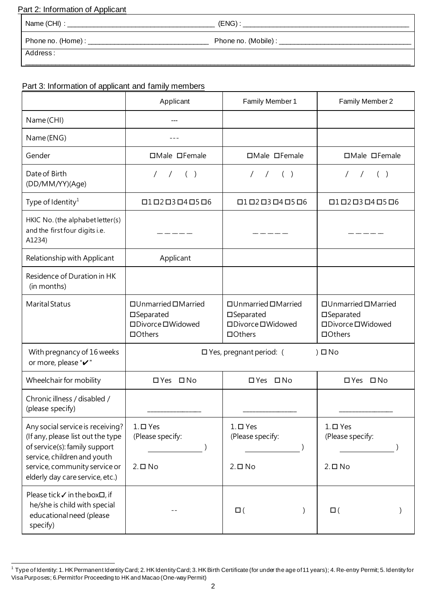## Part 2: Information of Applicant

|          | $(ENG)$ :<br>the control of the control of the control of the control of the control of the control of the control of the control of the control of the control of the control of the control of the control of the control of the control |
|----------|--------------------------------------------------------------------------------------------------------------------------------------------------------------------------------------------------------------------------------------------|
|          |                                                                                                                                                                                                                                            |
| Address: |                                                                                                                                                                                                                                            |

# Part 3: Information of applicant and family members

|                                                                                                                                                                                                           | Applicant                                                                           | Family Member 1                                                                     | Family Member 2                                                                     |
|-----------------------------------------------------------------------------------------------------------------------------------------------------------------------------------------------------------|-------------------------------------------------------------------------------------|-------------------------------------------------------------------------------------|-------------------------------------------------------------------------------------|
| Name (CHI)                                                                                                                                                                                                |                                                                                     |                                                                                     |                                                                                     |
| Name (ENG)                                                                                                                                                                                                |                                                                                     |                                                                                     |                                                                                     |
| Gender                                                                                                                                                                                                    | □Male □Female                                                                       | □Male □Female                                                                       | □Male □Female                                                                       |
| Date of Birth<br>(DD/MM/YY)(Age)                                                                                                                                                                          | $\left( \begin{array}{cc} \end{array} \right)$                                      | $\left( \begin{array}{cc} \end{array} \right)$<br>$\sqrt{2}$                        | $/$ ( )<br>$\sqrt{2}$                                                               |
| Type of Identity <sup>1</sup>                                                                                                                                                                             | $\Box$ 1 $\Box$ 2 $\Box$ 3 $\Box$ 4 $\Box$ 5 $\Box$ 6                               | $\Box$ 1 $\Box$ 2 $\Box$ 3 $\Box$ 4 $\Box$ 5 $\Box$ 6                               | $\Box$ 1 $\Box$ 2 $\Box$ 3 $\Box$ 4 $\Box$ 5 $\Box$ 6                               |
| HKIC No. (the alphabet letter(s)<br>and the first four digits i.e.<br>A1234)                                                                                                                              |                                                                                     |                                                                                     |                                                                                     |
| Relationship with Applicant                                                                                                                                                                               | Applicant                                                                           |                                                                                     |                                                                                     |
| Residence of Duration in HK<br>(in months)                                                                                                                                                                |                                                                                     |                                                                                     |                                                                                     |
| <b>Marital Status</b>                                                                                                                                                                                     | $\Box$ Unmarried $\Box$ Married<br>□Separated<br>□Divorce □Widowed<br>$\Box$ Others | $\Box$ Unmarried $\Box$ Married<br>□Separated<br>□Divorce □Widowed<br>$\Box$ Others | $\Box$ Unmarried $\Box$ Married<br>□Separated<br>□Divorce □Widowed<br>$\Box$ Others |
| With pregnancy of 16 weeks<br>or more, please "v"                                                                                                                                                         |                                                                                     | $\square$ Yes, pregnant period: (                                                   | $)$ $\square$ No                                                                    |
| Wheelchair for mobility                                                                                                                                                                                   | □ Yes □ No                                                                          | □ Yes □ No                                                                          | □ Yes □ No                                                                          |
| Chronic illness / disabled /<br>(please specify)                                                                                                                                                          |                                                                                     |                                                                                     |                                                                                     |
| Any social service is receiving?<br>(If any, please list out the type<br>of service(s): family support<br>service, children and youth<br>service, community service or<br>elderly day care service, etc.) | $1. \square$ Yes<br>(Please specify:<br>$2. \square$ No                             | $1. \square$ Yes<br>(Please specify:<br>$2. \square$ No                             | $1. \square$ Yes<br>(Please specify:<br>$2. \square$ No                             |
| Please tick√ in the box□, if<br>he/she is child with special<br>educational need (please<br>specify)                                                                                                      |                                                                                     | $\square$ (                                                                         | $\square$ (                                                                         |

<sup>1</sup> Type of Identity: 1. HK Permanent Identity Card; 2. HK Identity Card; 3. HK Birth Certificate (for under the age of 11 years); 4. Re-entry Permit; 5. Identity for Visa Purposes; 6.Permit for Proceeding to HK and Macao (One-way Permit)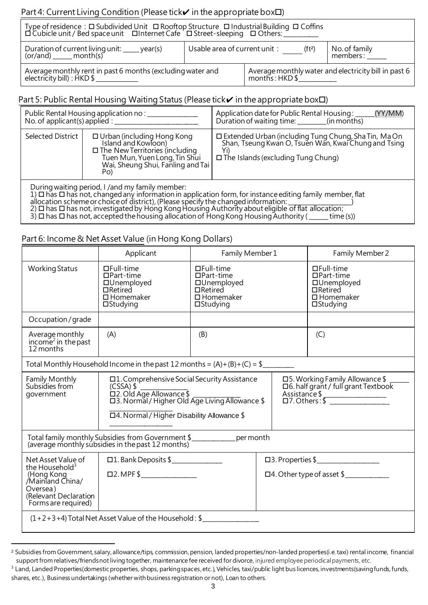## Part 4: Current Living Condition (Please tick $\checkmark$  in the appropriate box $\Box$ )

| Type of residence : □ Subdivided Unit □ Rooftop Structure □ Industrial Building □ Coffins<br>□ □ Cubicle unit / Bed space unit  □ Internet Cafe  □ Street-sleeping  □ Others: __________ |                              |                            |                                                      |
|------------------------------------------------------------------------------------------------------------------------------------------------------------------------------------------|------------------------------|----------------------------|------------------------------------------------------|
| Duration of current living unit: _____ year(s)<br>(or/and) ______ month(s)                                                                                                               | Usable area of current unit: | (f <sup>t2</sup> )         | No. of family<br>members:                            |
| Average monthly rent in past 6 months (excluding water and<br>electricity bill) : HKD \$                                                                                                 |                              | $months$ : HKD $$^{\circ}$ | Average monthly water and electricity bill in past 6 |

## Part 5: Public Rental Housing Waiting Status (Please tick $\checkmark$  in the appropriate box $\Box$ )

| No. of applicant(s) applied : $\frac{1}{2}$                                                                                                                                                                                                                                                                                                                                                                                                                                                         | Public Rental Housing application no: _____                                                                                                                                       | Application date for Public Rental Housing:<br>(YY/MM)<br>Duration of waiting time: ________(in months)                                                     |  |  |
|-----------------------------------------------------------------------------------------------------------------------------------------------------------------------------------------------------------------------------------------------------------------------------------------------------------------------------------------------------------------------------------------------------------------------------------------------------------------------------------------------------|-----------------------------------------------------------------------------------------------------------------------------------------------------------------------------------|-------------------------------------------------------------------------------------------------------------------------------------------------------------|--|--|
| Selected District                                                                                                                                                                                                                                                                                                                                                                                                                                                                                   | $\Box$ Urban (including Hong Kong<br>Island and Kowloon)<br>$\square$ The New Territories (including<br>Tuen Mun, Yuen Long, Tin Shui<br>Wai, Sheung Shui, Fanling and Tai<br>Po) | □ Extended Urban (including Tung Chung, Sha Tin, Ma On<br>Shan, Tseung Kwan O, Tsuen Wan, Kwai Chung and Tsing<br>$\Box$ The Islands (excluding Tung Chung) |  |  |
| During waiting period, I /and my family member:<br>$1)$ $\Box$ has $\Box$ has not, changed any information in application form, for instance editing family member, flat<br>allocation scheme or choice of district), (Please specify the changed information:<br>$2)$ $\square$ has $\square$ has not, investigated by Hong Kong Housing Authority about eligible of flat allocation;<br>3) $\Box$ has $\Box$ has not, accepted the housing allocation of Hong Kong Housing Authority (<br>time(s) |                                                                                                                                                                                   |                                                                                                                                                             |  |  |

## Part 6: Income & Net Asset Value (in Hong Kong Dollars)

|                                                                                                                                                | Applicant                                                                                                                                                                                       | Family Member 1                                                                                                 |  | Family Member 2                                                                                                           |
|------------------------------------------------------------------------------------------------------------------------------------------------|-------------------------------------------------------------------------------------------------------------------------------------------------------------------------------------------------|-----------------------------------------------------------------------------------------------------------------|--|---------------------------------------------------------------------------------------------------------------------------|
| <b>Working Status</b>                                                                                                                          | $\Box$ Full-time<br>$\Box$ Part-time<br>□Unemployed<br>$\Box$ Retired<br>$\square$ Homemaker<br>$\Box$ Studying                                                                                 | $\Box$ Full-time<br>$\Box$ Part-time<br>□Unemployed<br>$\Box$ Retired<br>$\square$ Homemaker<br>$\Box$ Studying |  | $\Box$ Full-time<br>$\Box$ Part-time<br>□Unemployed<br>$\Box$ Retired<br>$\square$ Homemaker<br>$\Box$ Studying           |
| Occupation/grade                                                                                                                               |                                                                                                                                                                                                 |                                                                                                                 |  |                                                                                                                           |
| Average monthly<br>income <sup>2</sup> in the past<br>12 months                                                                                | (A)                                                                                                                                                                                             | (B)                                                                                                             |  | (C)                                                                                                                       |
|                                                                                                                                                | Total Monthly Household Income in the past 12 months = $(A)+(B)+(C) =$ \$                                                                                                                       |                                                                                                                 |  |                                                                                                                           |
| Family Monthly<br>Subsidies from<br>government                                                                                                 | $\Box$ 1. Comprehensive Social Security Assistance<br>$(CSSA)$ \$<br>□2. Old Age Allowance \$<br>□3. Normal / Higher Old Age Living Allowance \$<br>□4. Normal / Higher Disability Allowance \$ |                                                                                                                 |  | □5. Working Family Allowance \$<br>□6. half grant / full grant Textbook<br>Assistance \$<br>□7. Others : \$ ───────────── |
| Total family monthly Subsidies from Government \$<br>per month<br>(average monthly subsidies in the past 12 months)                            |                                                                                                                                                                                                 |                                                                                                                 |  |                                                                                                                           |
| Net Asset Value of<br>the Household <sup>3</sup><br>(Hong Kong<br>/Mainland China/<br>Oversea)<br>(Relevant Declaration<br>Forms are required) |                                                                                                                                                                                                 |                                                                                                                 |  | □4. Other type of asset \$                                                                                                |
| $(1+2+3+4)$ Total Net Asset Value of the Household: \$                                                                                         |                                                                                                                                                                                                 |                                                                                                                 |  |                                                                                                                           |

<sup>&</sup>lt;sup>2</sup> Subsidies from Government, salary, allowance/tips, commission, pension, landed properties/non-landed properties(i.e. taxi) rental income, financial support from relatives/friends not living together, maintenance fee received for divorce, injured employee periodical payments, etc.

 $3$  Land, Landed Properties(domestic properties, shops, parking spaces, etc.), Vehicles, taxi/public light bus licences, investments(saving funds, funds, shares, etc.), Business undertakings (whether with business registration or not), Loan to others.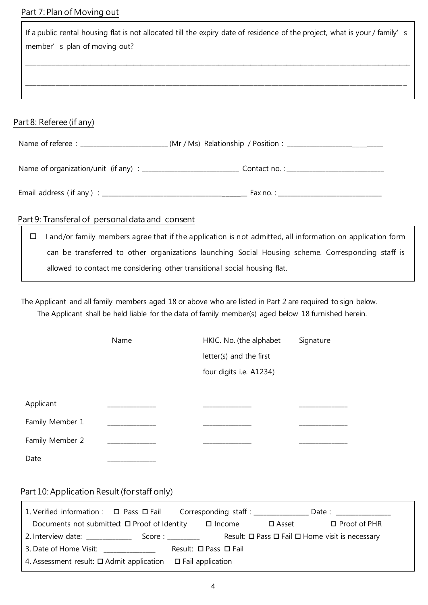## Part 7: Plan of Moving out

|                                                                                                                | If a public rental housing flat is not allocated till the expiry date of residence of the project, what is your / family's<br>member's plan of moving out? |  |  |  |  |
|----------------------------------------------------------------------------------------------------------------|------------------------------------------------------------------------------------------------------------------------------------------------------------|--|--|--|--|
|                                                                                                                |                                                                                                                                                            |  |  |  |  |
| Part 8: Referee (if any)                                                                                       |                                                                                                                                                            |  |  |  |  |
| Name of referee : _______________________________(Mr / Ms) Relationship / Position : _________________________ |                                                                                                                                                            |  |  |  |  |
|                                                                                                                | Name of organization/unit (if any) : __________________________________ Contact no. : ______________________________                                       |  |  |  |  |
|                                                                                                                |                                                                                                                                                            |  |  |  |  |
| Part 9: Transferal of personal data and consent                                                                |                                                                                                                                                            |  |  |  |  |
|                                                                                                                | I and/or family members agree that if the application is not admitted, all information on application form<br>□                                            |  |  |  |  |
|                                                                                                                | can be transferred to other organizations launching Social Housing scheme. Corresponding staff is                                                          |  |  |  |  |
|                                                                                                                | allowed to contact me considering other transitional social housing flat.                                                                                  |  |  |  |  |

The Applicant and all family members aged 18 or above who are listed in Part 2 are required to sign below. The Applicant shall be held liable for the data of family member(s) aged below 18 furnished herein.

|                 | Name | HKIC. No. (the alphabet | Signature |
|-----------------|------|-------------------------|-----------|
|                 |      | letter(s) and the first |           |
|                 |      | four digits i.e. A1234) |           |
|                 |      |                         |           |
| Applicant       |      |                         |           |
| Family Member 1 |      |                         |           |
| Family Member 2 |      |                         |           |
| Date            |      |                         |           |

# Part 10: Application Result (for staff only)

 $\overline{1}$ 

| 1. Verified information: $\Box$ Pass $\Box$ Fail Corresponding staff: _______________ |                                                                                                                |                                 |                 | Date: the contract of the contract of the contract of the contract of the contract of the contract of the contract of the contract of the contract of the contract of the contract of the contract of the contract of the cont |
|---------------------------------------------------------------------------------------|----------------------------------------------------------------------------------------------------------------|---------------------------------|-----------------|--------------------------------------------------------------------------------------------------------------------------------------------------------------------------------------------------------------------------------|
| Documents not submitted: $\Box$ Proof of Identity                                     |                                                                                                                | $\square$ Income                | $\square$ Asset | $\Box$ Proof of PHR                                                                                                                                                                                                            |
| 2. Interview date:                                                                    | Score : will be a second to the second series of the second series of the second series of the second series o |                                 |                 | Result: $\Box$ Pass $\Box$ Fail $\Box$ Home visit is necessary                                                                                                                                                                 |
| 3. Date of Home Visit: ______________                                                 |                                                                                                                | Result: $\Box$ Pass $\Box$ Fail |                 |                                                                                                                                                                                                                                |
| 4. Assessment result: $\square$ Admit application $\square$ Fail application          |                                                                                                                |                                 |                 |                                                                                                                                                                                                                                |